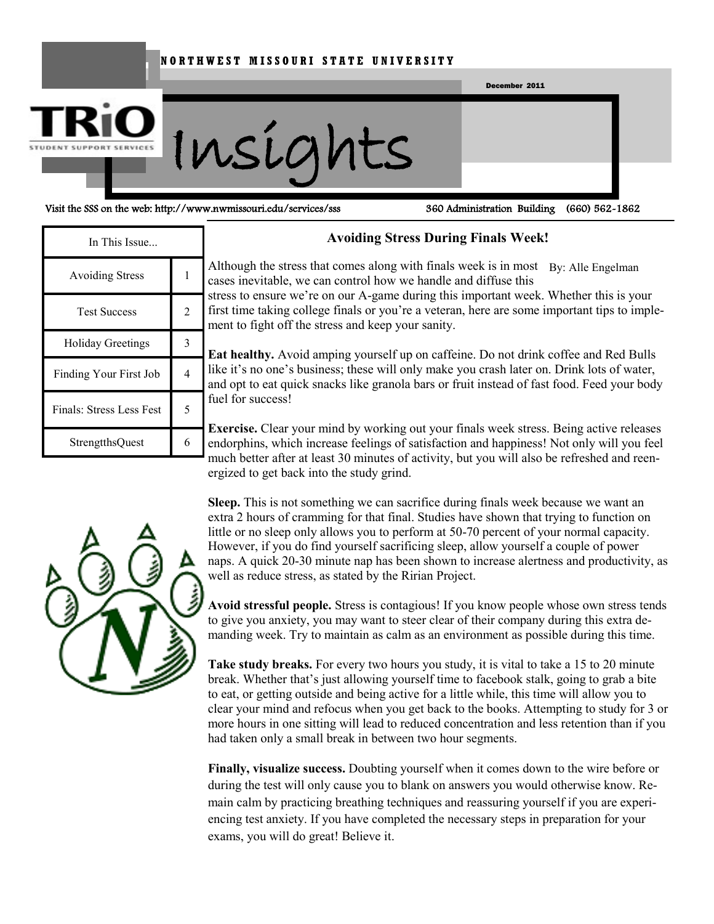#### **N O R T H W E S T M I S S O U R I S T A T E U N I V E R S I T Y**



Visit the SSS on the web: http://www.nwmissouri.edu/services/sss 360 Administration Building (660) 562-1862

| In This Issue            |   |
|--------------------------|---|
| <b>Avoiding Stress</b>   |   |
| <b>Test Success</b>      | 2 |
| <b>Holiday Greetings</b> |   |
| Finding Your First Job   |   |
| Finals: Stress Less Fest |   |
| <b>StrengtthsQuest</b>   |   |
|                          |   |

#### **Avoiding Stress During Finals Week!**

Although the stress that comes along with finals week is in most By: Alle Engelmancases inevitable, we can control how we handle and diffuse this

stress to ensure we're on our A-game during this important week. Whether this is your first time taking college finals or you're a veteran, here are some important tips to implement to fight off the stress and keep your sanity.

**Eat healthy.** Avoid amping yourself up on caffeine. Do not drink coffee and Red Bulls like it's no one's business; these will only make you crash later on. Drink lots of water, and opt to eat quick snacks like granola bars or fruit instead of fast food. Feed your body fuel for success!

**Exercise.** Clear your mind by working out your finals week stress. Being active releases endorphins, which increase feelings of satisfaction and happiness! Not only will you feel much better after at least 30 minutes of activity, but you will also be refreshed and reenergized to get back into the study grind.

**Sleep.** This is not something we can sacrifice during finals week because we want an extra 2 hours of cramming for that final. Studies have shown that trying to function on little or no sleep only allows you to perform at 50-70 percent of your normal capacity. However, if you do find yourself sacrificing sleep, allow yourself a couple of power naps. A quick 20-30 minute nap has been shown to increase alertness and productivity, as well as reduce stress, as stated by the Ririan Project.

**Avoid stressful people.** Stress is contagious! If you know people whose own stress tends to give you anxiety, you may want to steer clear of their company during this extra demanding week. Try to maintain as calm as an environment as possible during this time.

**Take study breaks.** For every two hours you study, it is vital to take a 15 to 20 minute break. Whether that's just allowing yourself time to facebook stalk, going to grab a bite to eat, or getting outside and being active for a little while, this time will allow you to clear your mind and refocus when you get back to the books. Attempting to study for 3 or more hours in one sitting will lead to reduced concentration and less retention than if you had taken only a small break in between two hour segments.

**Finally, visualize success.** Doubting yourself when it comes down to the wire before or during the test will only cause you to blank on answers you would otherwise know. Remain calm by practicing breathing techniques and reassuring yourself if you are experiencing test anxiety. If you have completed the necessary steps in preparation for your exams, you will do great! Believe it.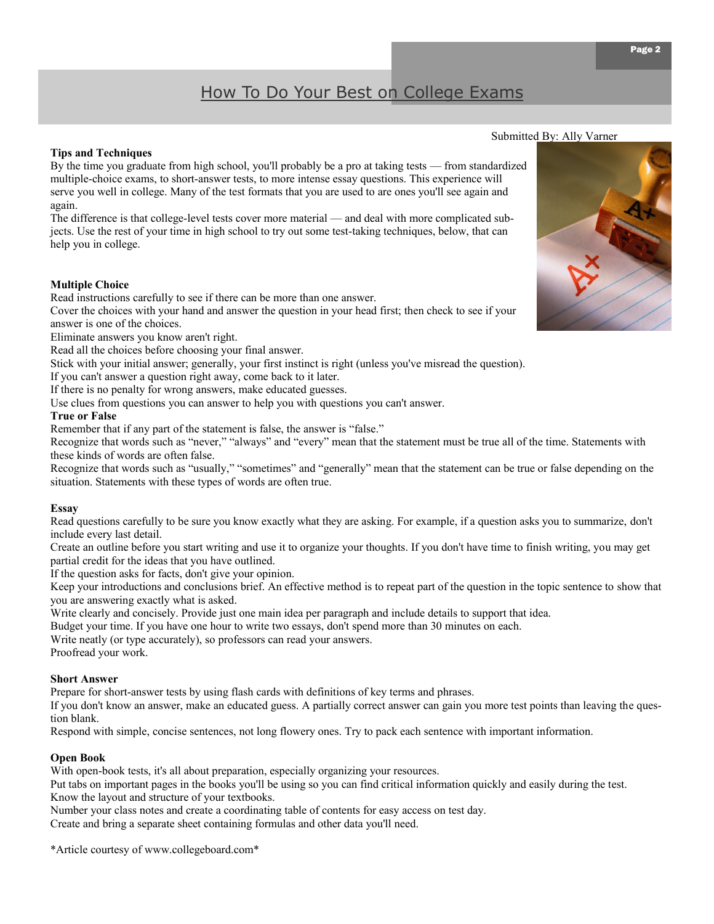### How To Do Your Best on College Exams

#### **Tips and Techniques**

By the time you graduate from high school, you'll probably be a pro at taking tests — from standardized multiple-choice exams, to short-answer tests, to more intense essay questions. This experience will serve you well in college. Many of the test formats that you are used to are ones you'll see again and again.

The difference is that college-level tests cover more material — and deal with more complicated subjects. Use the rest of your time in high school to try out some test-taking techniques, below, that can help you in college.

#### **Multiple Choice**

Read instructions carefully to see if there can be more than one answer.

Cover the choices with your hand and answer the question in your head first; then check to see if your answer is one of the choices.

Eliminate answers you know aren't right.

Read all the choices before choosing your final answer.

Stick with your initial answer; generally, your first instinct is right (unless you've misread the question).

If you can't answer a question right away, come back to it later.

If there is no penalty for wrong answers, make educated guesses.

Use clues from questions you can answer to help you with questions you can't answer.

#### **True or False**

Remember that if any part of the statement is false, the answer is "false."

Recognize that words such as "never," "always" and "every" mean that the statement must be true all of the time. Statements with these kinds of words are often false.

Recognize that words such as "usually," "sometimes" and "generally" mean that the statement can be true or false depending on the situation. Statements with these types of words are often true.

#### **Essay**

Read questions carefully to be sure you know exactly what they are asking. For example, if a question asks you to summarize, don't include every last detail.

Create an outline before you start writing and use it to organize your thoughts. If you don't have time to finish writing, you may get partial credit for the ideas that you have outlined.

If the question asks for facts, don't give your opinion.

Keep your introductions and conclusions brief. An effective method is to repeat part of the question in the topic sentence to show that you are answering exactly what is asked.

Write clearly and concisely. Provide just one main idea per paragraph and include details to support that idea.

Budget your time. If you have one hour to write two essays, don't spend more than 30 minutes on each.

Write neatly (or type accurately), so professors can read your answers.

Proofread your work.

#### **Short Answer**

Prepare for short-answer tests by using flash cards with definitions of key terms and phrases.

If you don't know an answer, make an educated guess. A partially correct answer can gain you more test points than leaving the question blank.

Respond with simple, concise sentences, not long flowery ones. Try to pack each sentence with important information.

#### **Open Book**

With open-book tests, it's all about preparation, especially organizing your resources.

Put tabs on important pages in the books you'll be using so you can find critical information quickly and easily during the test. Know the layout and structure of your textbooks.

Number your class notes and create a coordinating table of contents for easy access on test day.

Create and bring a separate sheet containing formulas and other data you'll need.

\*Article courtesy of www.collegeboard.com\*

### Submitted By: Ally Varner

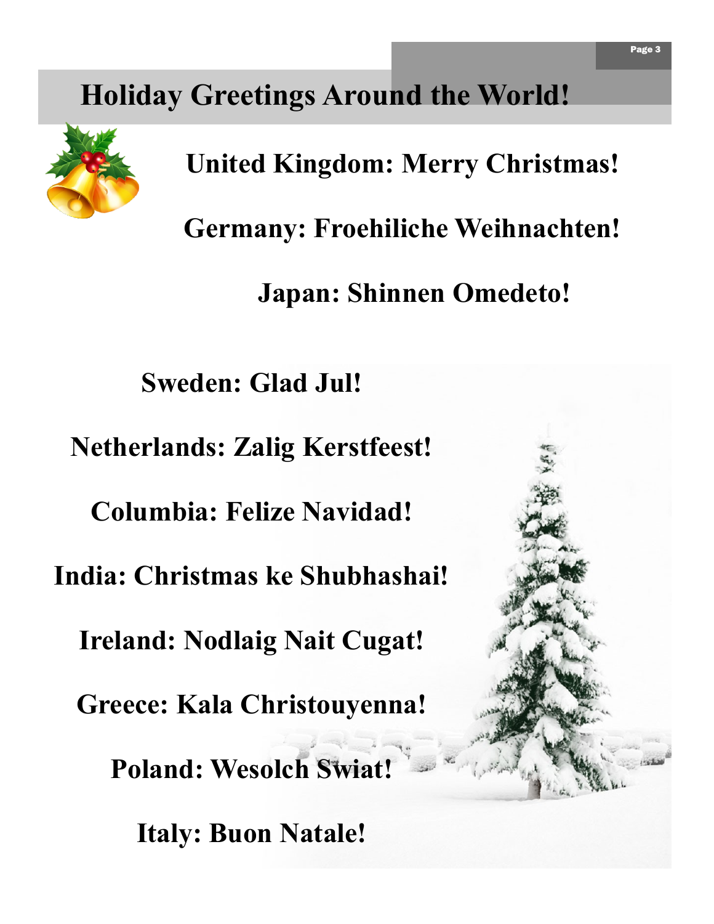### **Holiday Greetings Around the World!**



**United Kingdom: Merry Christmas!**

**Germany: Froehiliche Weihnachten!**

**Japan: Shinnen Omedeto!**

**Sweden: Glad Jul!**

**Netherlands: Zalig Kerstfeest!**

**Columbia: Felize Navidad!**

**India: Christmas ke Shubhashai!**

**Ireland: Nodlaig Nait Cugat!**

**Greece: Kala Christouyenna!**

**Poland: Wesolch Swiat!**

**Italy: Buon Natale!**

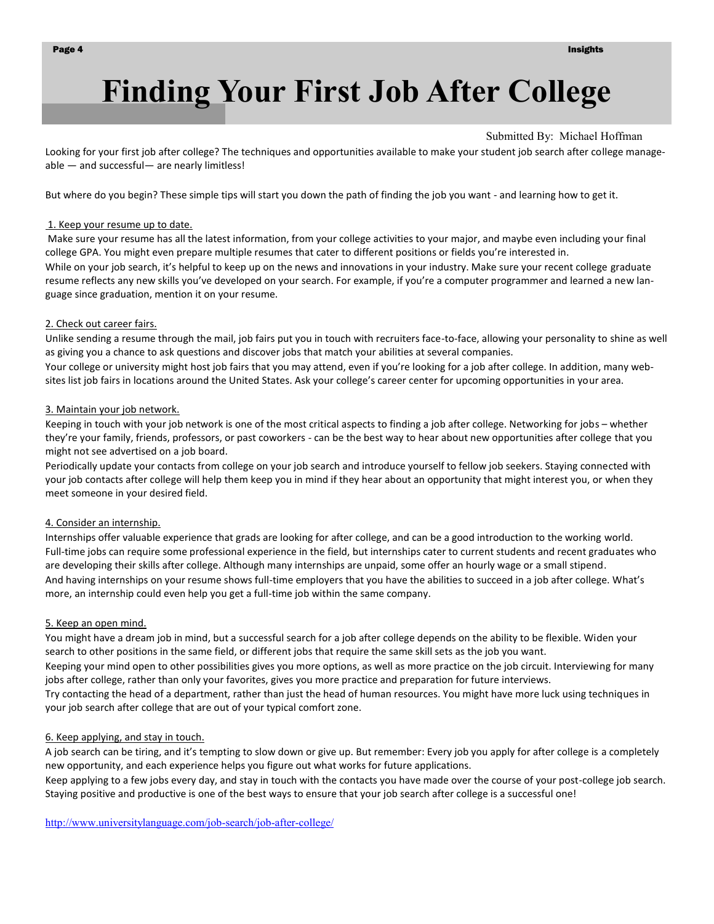## **Finding Your First Job After College**

#### Submitted By: Michael Hoffman

Looking for your first job after college? The techniques and opportunities available to make your student job search after college manageable — and successful— are nearly limitless!

But where do you begin? These simple tips will start you down the path of finding the job you want - and learning how to get it.

#### 1. Keep your resume up to date.

Make sure your resume has all the latest information, from your college activities to your major, and maybe even including your final college GPA. You might even prepare multiple resumes that cater to different positions or fields you're interested in. While on your job search, it's helpful to keep up on the news and innovations in your industry. Make sure your recent college graduate resume reflects any new skills you've developed on your search. For example, if you're a computer programmer and learned a new language since graduation, mention it on your resume.

#### 2. Check out career fairs.

Unlike sending a resume through the mail, job fairs put you in touch with recruiters face-to-face, allowing your personality to shine as well as giving you a chance to ask questions and discover jobs that match your abilities at several companies. Your college or university might host job fairs that you may attend, even if you're looking for a job after college. In addition, many web-

#### 3. Maintain your job network.

Keeping in touch with your job network is one of the most critical aspects to finding a job after college. Networking for jobs – whether they're your family, friends, professors, or past coworkers - can be the best way to hear about new opportunities after college that you might not see advertised on a job board.

sites list job fairs in locations around the United States. Ask your college's career center for upcoming opportunities in your area.

Periodically update your contacts from college on your job search and introduce yourself to fellow job seekers. Staying connected with your job contacts after college will help them keep you in mind if they hear about an opportunity that might interest you, or when they meet someone in your desired field.

#### 4. Consider an internship.

Internships offer valuable experience that grads are looking for after college, and can be a good introduction to the working world. Full-time jobs can require some professional experience in the field, but internships cater to current students and recent graduates who are developing their skills after college. Although many internships are unpaid, some offer an hourly wage or a small stipend. And having internships on your resume shows full-time employers that you have the abilities to succeed in a job after college. What's more, an internship could even help you get a full-time job within the same company.

#### 5. Keep an open mind.

You might have a dream job in mind, but a successful search for a job after college depends on the ability to be flexible. Widen your search to other positions in the same field, or different jobs that require the same skill sets as the job you want.

Keeping your mind open to other possibilities gives you more options, as well as more practice on the job circuit. Interviewing for many jobs after college, rather than only your favorites, gives you more practice and preparation for future interviews.

Try contacting the head of a department, rather than just the head of human resources. You might have more luck using techniques in your job search after college that are out of your typical comfort zone.

#### 6. Keep applying, and stay in touch.

A job search can be tiring, and it's tempting to slow down or give up. But remember: Every job you apply for after college is a completely new opportunity, and each experience helps you figure out what works for future applications.

Keep applying to a few jobs every day, and stay in touch with the contacts you have made over the course of your post-college job search. Staying positive and productive is one of the best ways to ensure that your job search after college is a successful one!

[http://www.universitylanguage.com/job-search/job-after-college/](https://sn2prd0302.outlook.com/owa/redir.aspx?C=jk2AlfaHl0aD1--iYFqCq0zVxc7-hs4ISyMkc-MX1Cd5fwy7k3EJh7KHmaaf_oVP5R_7LyPSdnw.&URL=http%3a%2f%2fwww.universitylanguage.com%2fjob-search%2fjob-after-college%2f)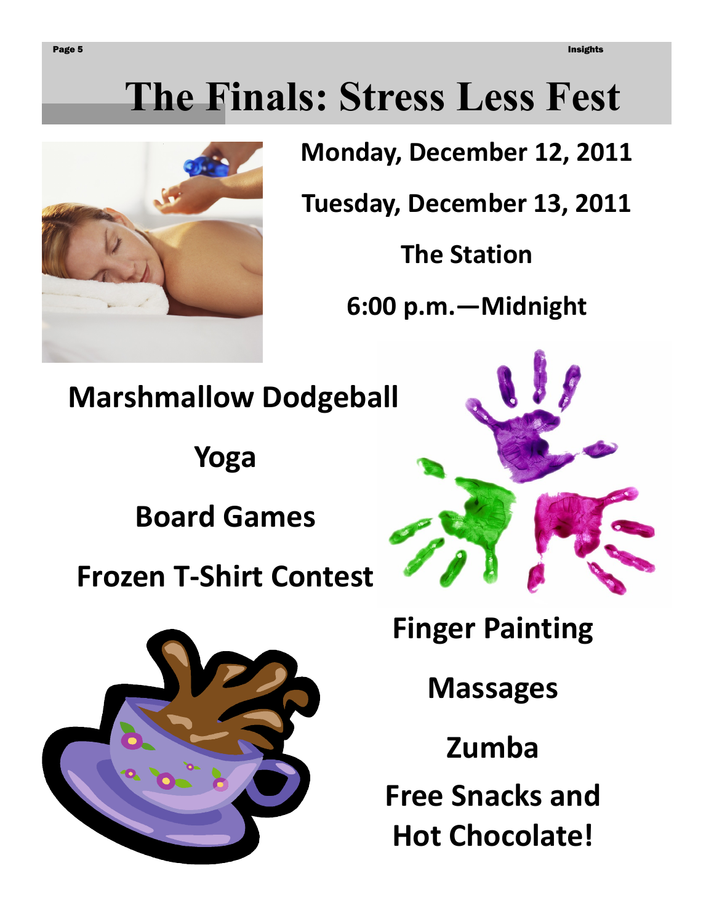# **The Finals: Stress Less Fest**



**Monday, December 12, 2011** 

**Tuesday, December 13, 2011**

**The Station**

**6:00 p.m.—Midnight**

**Marshmallow Dodgeball**

**Yoga**

**Board Games**

**Frozen T-Shirt Contest**





**Finger Painting**

**Massages**

**Zumba**

**Free Snacks and Hot Chocolate!**